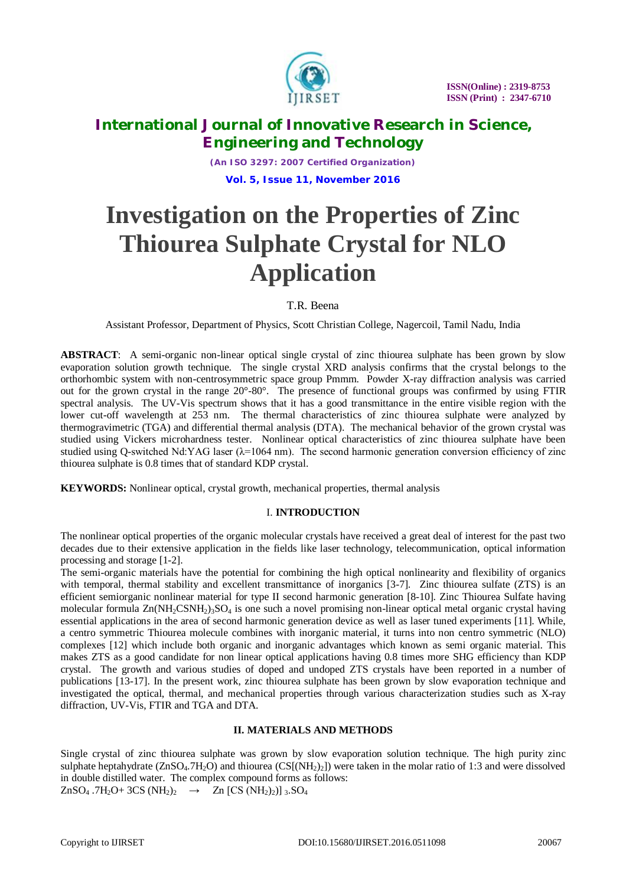

*(An ISO 3297: 2007 Certified Organization)* **Vol. 5, Issue 11, November 2016**

# **Investigation on the Properties of Zinc Thiourea Sulphate Crystal for NLO Application**

## T.R. Beena

Assistant Professor, Department of Physics, Scott Christian College, Nagercoil, Tamil Nadu, India

**ABSTRACT**: A semi-organic non-linear optical single crystal of zinc thiourea sulphate has been grown by slow evaporation solution growth technique. The single crystal XRD analysis confirms that the crystal belongs to the orthorhombic system with non-centrosymmetric space group Pmmm. Powder X-ray diffraction analysis was carried out for the grown crystal in the range 20°-80°. The presence of functional groups was confirmed by using FTIR spectral analysis. The UV-Vis spectrum shows that it has a good transmittance in the entire visible region with the lower cut-off wavelength at 253 nm. The thermal characteristics of zinc thiourea sulphate were analyzed by thermogravimetric (TGA) and differential thermal analysis (DTA). The mechanical behavior of the grown crystal was studied using Vickers microhardness tester. Nonlinear optical characteristics of zinc thiourea sulphate have been studied using Q-switched Nd:YAG laser  $(\lambda=1064 \text{ nm})$ . The second harmonic generation conversion efficiency of zinc thiourea sulphate is 0.8 times that of standard KDP crystal.

**KEYWORDS:** Nonlinear optical, crystal growth, mechanical properties, thermal analysis

## I. **INTRODUCTION**

The nonlinear optical properties of the organic molecular crystals have received a great deal of interest for the past two decades due to their extensive application in the fields like laser technology, telecommunication, optical information processing and storage [1-2].

The semi-organic materials have the potential for combining the high optical nonlinearity and flexibility of organics with temporal, thermal stability and excellent transmittance of inorganics [3-7]. Zinc thiourea sulfate (ZTS) is an efficient semiorganic nonlinear material for type II second harmonic generation [8*-*10]. Zinc Thiourea Sulfate having molecular formula  $Zn(NH_2CSNH_2)$ <sub>3</sub>SO<sub>4</sub> is one such a novel promising non-linear optical metal organic crystal having essential applications in the area of second harmonic generation device as well as laser tuned experiments [11]. While, a centro symmetric Thiourea molecule combines with inorganic material, it turns into non centro symmetric (NLO) complexes [12] which include both organic and inorganic advantages which known as semi organic material. This makes ZTS as a good candidate for non linear optical applications having 0.8 times more SHG efficiency than KDP crystal. The growth and various studies of doped and undoped ZTS crystals have been reported in a number of publications [13-17]. In the present work, zinc thiourea sulphate has been grown by slow evaporation technique and investigated the optical, thermal, and mechanical properties through various characterization studies such as X-ray diffraction, UV-Vis, FTIR and TGA and DTA.

## **II. MATERIALS AND METHODS**

Single crystal of zinc thiourea sulphate was grown by slow evaporation solution technique. The high purity zinc sulphate heptahydrate ( $ZnSO_4.7H_2O$ ) and thiourea ( $CS[(NH_2)_2]$ ) were taken in the molar ratio of 1:3 and were dissolved in double distilled water. The complex compound forms as follows:  $ZnSO_4$ .7H<sub>2</sub>O+3CS (NH<sub>2</sub>)<sub>2</sub>  $\rightarrow$   $Zn$  [CS (NH<sub>2</sub>)<sub>2</sub>)]<sub>3</sub>.SO<sub>4</sub>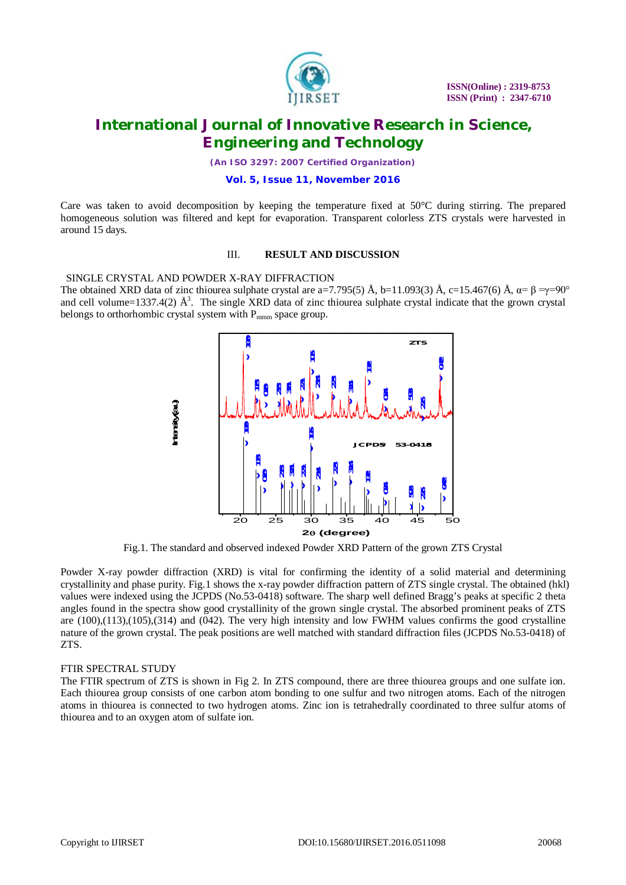

*(An ISO 3297: 2007 Certified Organization)*

#### **Vol. 5, Issue 11, November 2016**

Care was taken to avoid decomposition by keeping the temperature fixed at  $50^{\circ}$ C during stirring. The prepared homogeneous solution was filtered and kept for evaporation. Transparent colorless ZTS crystals were harvested in around 15 days.

#### III. **RESULT AND DISCUSSION**

 SINGLE CRYSTAL AND POWDER X-RAY DIFFRACTION The obtained XRD data of zinc thiourea sulphate crystal are a=7.795(5) Å, b=11.093(3) Å, c=15.467(6) Å,  $\alpha = \beta = \gamma = 90^{\circ}$ and cell volume=1337.4(2)  $\AA^3$ . The single XRD data of zinc thiourea sulphate crystal indicate that the grown crystal belongs to orthorhombic crystal system with  $P_{\text{mmm}}$  space group.



Fig.1. The standard and observed indexed Powder XRD Pattern of the grown ZTS Crystal

Powder X-ray powder diffraction (XRD) is vital for confirming the identity of a solid material and determining crystallinity and phase purity. Fig.1 shows the x-ray powder diffraction pattern of ZTS single crystal. The obtained (hkl) values were indexed using the JCPDS (No.53-0418) software. The sharp well defined Bragg's peaks at specific 2 theta angles found in the spectra show good crystallinity of the grown single crystal. The absorbed prominent peaks of ZTS are (100),(113),(105),(314) and (042). The very high intensity and low FWHM values confirms the good crystalline nature of the grown crystal. The peak positions are well matched with standard diffraction files (JCPDS No.53-0418) of ZTS.

#### FTIR SPECTRAL STUDY

The FTIR spectrum of ZTS is shown in Fig 2. In ZTS compound, there are three thiourea groups and one sulfate ion. Each thiourea group consists of one carbon atom bonding to one sulfur and two nitrogen atoms. Each of the nitrogen atoms in thiourea is connected to two hydrogen atoms. Zinc ion is tetrahedrally coordinated to three sulfur atoms of thiourea and to an oxygen atom of sulfate ion.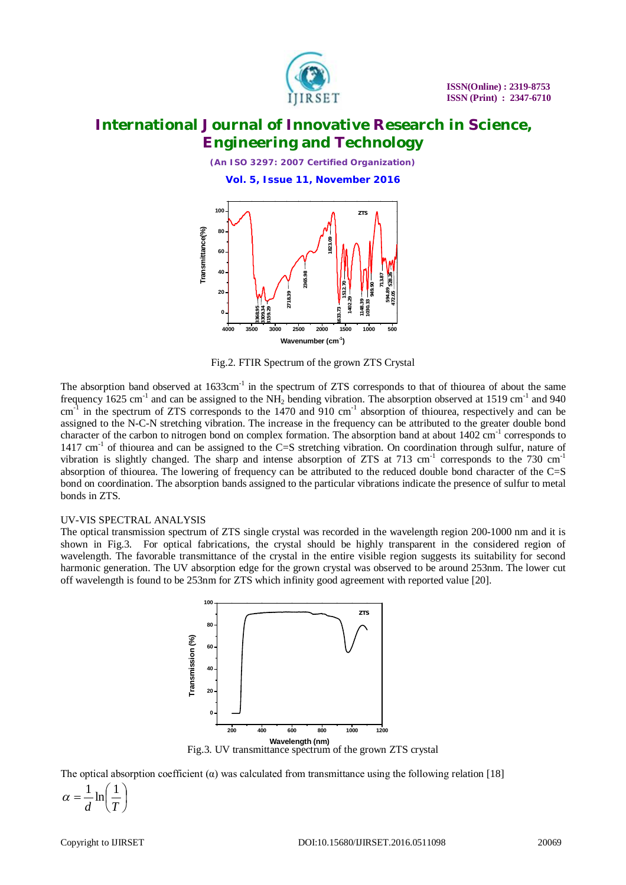

*(An ISO 3297: 2007 Certified Organization)*

**Vol. 5, Issue 11, November 2016**



Fig.2. FTIR Spectrum of the grown ZTS Crystal

The absorption band observed at 1633cm<sup>-1</sup> in the spectrum of ZTS corresponds to that of thiourea of about the same frequency  $1625 \text{ cm}^{-1}$  and can be assigned to the NH<sub>2</sub> bending vibration. The absorption observed at 1519 cm<sup>-1</sup> and 940  $cm^{-1}$  in the spectrum of ZTS corresponds to the 1470 and 910  $cm^{-1}$  absorption of thiourea, respectively and can be assigned to the N-C-N stretching vibration. The increase in the frequency can be attributed to the greater double bond character of the carbon to nitrogen bond on complex formation. The absorption band at about  $1402 \text{ cm}^{-1}$  corresponds to 1417 cm<sup>-1</sup> of thiourea and can be assigned to the C=S stretching vibration. On coordination through sulfur, nature of vibration is slightly changed. The sharp and intense absorption of ZTS at 713 cm<sup>-1</sup> corresponds to the 730 cm<sup>-1</sup> absorption of thiourea. The lowering of frequency can be attributed to the reduced double bond character of the C=S bond on coordination. The absorption bands assigned to the particular vibrations indicate the presence of sulfur to metal bonds in ZTS.

#### UV-VIS SPECTRAL ANALYSIS

The optical transmission spectrum of ZTS single crystal was recorded in the wavelength region 200-1000 nm and it is shown in Fig.3. For optical fabrications, the crystal should be highly transparent in the considered region of wavelength. The favorable transmittance of the crystal in the entire visible region suggests its suitability for second harmonic generation. The UV absorption edge for the grown crystal was observed to be around 253nm. The lower cut off wavelength is found to be 253nm for ZTS which infinity good agreement with reported value [20].



Fig.3. UV transmittance spectrum of the grown ZTS crystal

The optical absorption coefficient  $\alpha$ ) was calculated from transmittance using the following relation [18]

 $\overline{\phantom{a}}$ J  $\left(\frac{1}{T}\right)$  $\setminus$  $=\frac{1}{4}$ ln *d T*  $\alpha = \frac{1}{I} \ln \left( \frac{1}{I} \right)$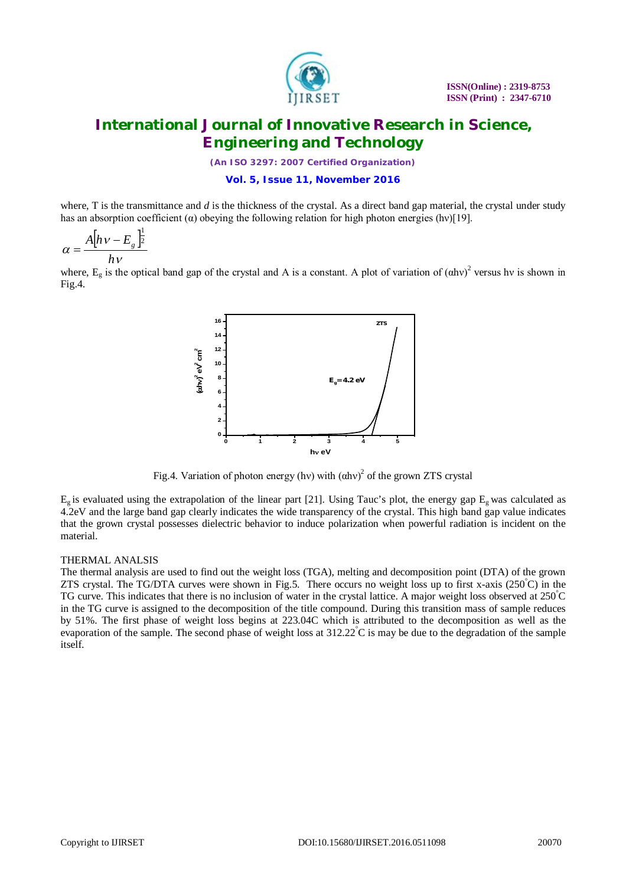

*(An ISO 3297: 2007 Certified Organization)*

#### **Vol. 5, Issue 11, November 2016**

where, T is the transmittance and  $d$  is the thickness of the crystal. As a direct band gap material, the crystal under study has an absorption coefficient ( $\alpha$ ) obeying the following relation for high photon energies (hv)[19].

$$
\alpha = \frac{A[hv - E_g]^{\frac{1}{2}}}{hv}
$$

where,  $E_g$  is the optical band gap of the crystal and A is a constant. A plot of variation of  $(\alpha h v)^2$  versus hv is shown in Fig.4.



Fig.4. Variation of photon energy (hv) with  $(ahv)^2$  of the grown ZTS crystal

 $E_g$  is evaluated using the extrapolation of the linear part [21]. Using Tauc's plot, the energy gap  $E_g$  was calculated as 4.2eV and the large band gap clearly indicates the wide transparency of the crystal. This high band gap value indicates that the grown crystal possesses dielectric behavior to induce polarization when powerful radiation is incident on the material.

#### THERMAL ANALSIS

The thermal analysis are used to find out the weight loss (TGA), melting and decomposition point (DTA) of the grown ZTS crystal. The TG/DTA curves were shown in Fig.5. There occurs no weight loss up to first x-axis (250°C) in the TG curve. This indicates that there is no inclusion of water in the crystal lattice. A major weight loss observed at  $250^{\circ}$ C in the TG curve is assigned to the decomposition of the title compound. During this transition mass of sample reduces by 51%. The first phase of weight loss begins at 223.04C which is attributed to the decomposition as well as the evaporation of the sample. The second phase of weight loss at  $312.22^{\circ}$ C is may be due to the degradation of the sample itself.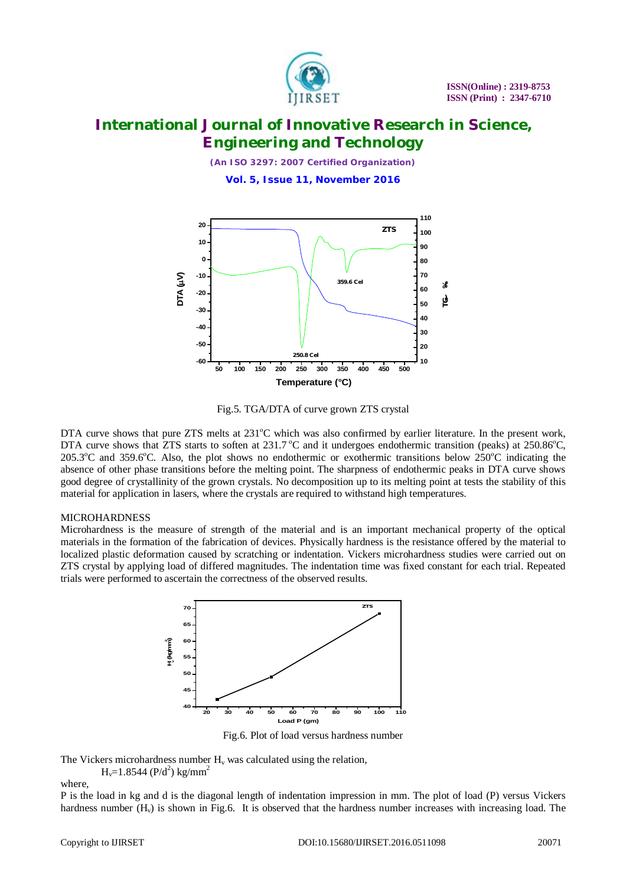

*(An ISO 3297: 2007 Certified Organization)*

**Vol. 5, Issue 11, November 2016**



Fig.5. TGA/DTA of curve grown ZTS crystal

DTA curve shows that pure ZTS melts at  $231^{\circ}$ C which was also confirmed by earlier literature. In the present work, DTA curve shows that ZTS starts to soften at  $231.7^{\circ}$ C and it undergoes endothermic transition (peaks) at  $250.86^{\circ}$ C, 205.3<sup>o</sup>C and 359.6<sup>o</sup>C. Also, the plot shows no endothermic or exothermic transitions below 250<sup>o</sup>C indicating the absence of other phase transitions before the melting point. The sharpness of endothermic peaks in DTA curve shows good degree of crystallinity of the grown crystals. No decomposition up to its melting point at tests the stability of this material for application in lasers, where the crystals are required to withstand high temperatures.

## **MICROHARDNESS**

Microhardness is the measure of strength of the material and is an important mechanical property of the optical materials in the formation of the fabrication of devices. Physically hardness is the resistance offered by the material to localized plastic deformation caused by scratching or indentation. Vickers microhardness studies were carried out on ZTS crystal by applying load of differed magnitudes. The indentation time was fixed constant for each trial. Repeated trials were performed to ascertain the correctness of the observed results.



Fig.6. Plot of load versus hardness number

The Vickers microhardness number  $H_v$  was calculated using the relation,

 $H_v=1.8544$  (P/d<sup>2</sup>) kg/mm<sup>2</sup>

where,

P is the load in kg and d is the diagonal length of indentation impression in mm. The plot of load (P) versus Vickers hardness number  $(H_v)$  is shown in Fig.6. It is observed that the hardness number increases with increasing load. The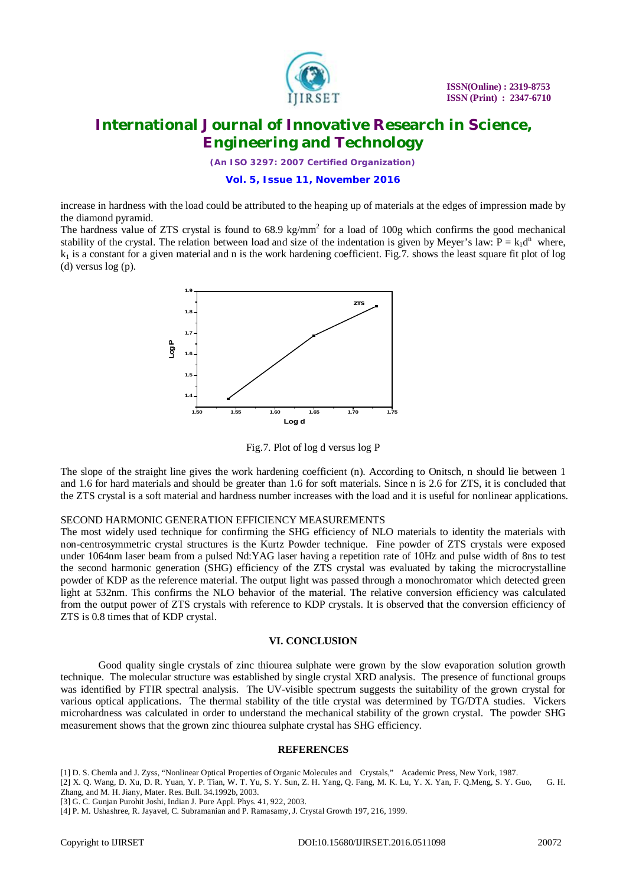

*(An ISO 3297: 2007 Certified Organization)*

**Vol. 5, Issue 11, November 2016**

increase in hardness with the load could be attributed to the heaping up of materials at the edges of impression made by the diamond pyramid.

The hardness value of ZTS crystal is found to  $68.9 \text{ kg/mm}^2$  for a load of 100g which confirms the good mechanical stability of the crystal. The relation between load and size of the indentation is given by Meyer's law:  $P = k_1d^n$  where,  $k_1$  is a constant for a given material and n is the work hardening coefficient. Fig.7, shows the least square fit plot of log (d) versus log (p).



Fig.7. Plot of log d versus log P

The slope of the straight line gives the work hardening coefficient (n). According to Onitsch, n should lie between 1 and 1.6 for hard materials and should be greater than 1.6 for soft materials. Since n is 2.6 for ZTS, it is concluded that the ZTS crystal is a soft material and hardness number increases with the load and it is useful for nonlinear applications.

#### SECOND HARMONIC GENERATION EFFICIENCY MEASUREMENTS

The most widely used technique for confirming the SHG efficiency of NLO materials to identity the materials with non-centrosymmetric crystal structures is the Kurtz Powder technique. Fine powder of ZTS crystals were exposed under 1064nm laser beam from a pulsed Nd:YAG laser having a repetition rate of 10Hz and pulse width of 8ns to test the second harmonic generation (SHG) efficiency of the ZTS crystal was evaluated by taking the microcrystalline powder of KDP as the reference material. The output light was passed through a monochromator which detected green light at 532nm. This confirms the NLO behavior of the material. The relative conversion efficiency was calculated from the output power of ZTS crystals with reference to KDP crystals. It is observed that the conversion efficiency of ZTS is 0.8 times that of KDP crystal.

#### **VI. CONCLUSION**

Good quality single crystals of zinc thiourea sulphate were grown by the slow evaporation solution growth technique. The molecular structure was established by single crystal XRD analysis. The presence of functional groups was identified by FTIR spectral analysis. The UV-visible spectrum suggests the suitability of the grown crystal for various optical applications. The thermal stability of the title crystal was determined by TG/DTA studies. Vickers microhardness was calculated in order to understand the mechanical stability of the grown crystal. The powder SHG measurement shows that the grown zinc thiourea sulphate crystal has SHG efficiency.

#### **REFERENCES**

[1] D. S. Chemla and J. Zyss, "Nonlinear Optical Properties of Organic Molecules and Crystals," Academic Press, New York, 1987.

[2] X. Q. Wang, D. Xu, D. R. Yuan, Y. P. Tian, W. T. Yu, S. Y. Sun, Z. H. Yang, Q. Fang, M. K. Lu, Y. X. Yan, F. Q.Meng, S. Y. Guo, G. H. Zhang, and M. H. Jiany, Mater. Res. Bull. 34.1992b, 2003.

<sup>[3]</sup> G. C. Gunjan Purohit Joshi, Indian J. Pure Appl. Phys. 41, 922, 2003.

<sup>[4]</sup> P. M. Ushashree, R. Jayavel, C. Subramanian and P. Ramasamy, J. Crystal Growth 197, 216, 1999.